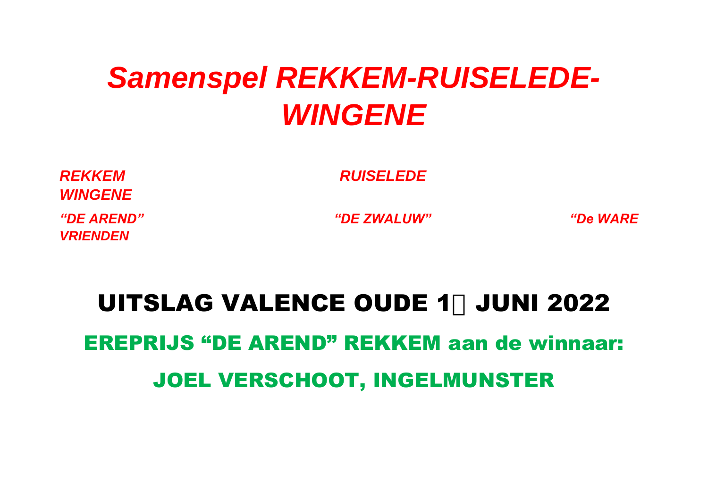## *Samenspel REKKEM-RUISELEDE-WINGENE*

*WINGENE VRIENDEN* 

*REKKEM RUISELEDE* 

*"DE AREND" "DE ZWALUW" "De WARE* 

## **UITSLAG VALENCE OUDE 1, JUNI 2022** EREPRIJS "DE AREND" REKKEM aan de winnaar: JOEL VERSCHOOT, INGELMUNSTER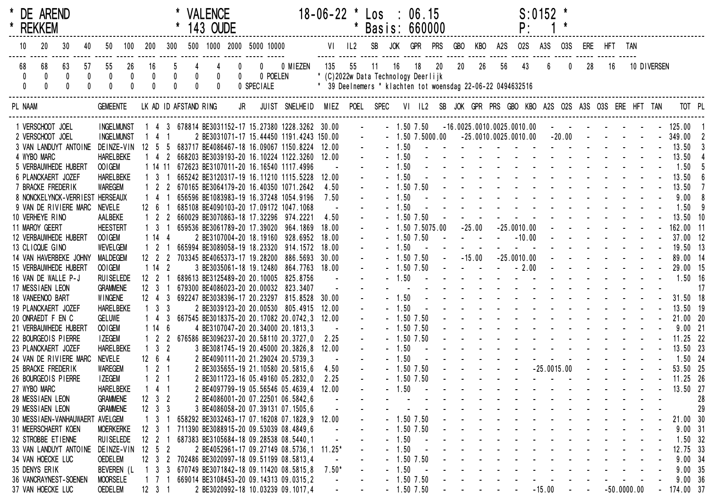| * DE AREND<br>* REKKEM |                 |                        |                                    |                 |                                   |     |                                                  | * VALENCE<br>143 OUDE |                              |                                                                                |          | $18-06-22$ * Los : 06.15 |            | * Basis: 660000                                             |            |                              |            |                               |                                                           |                        | P:                                                                                                                                                                                                                             | $S: 0152$ *                                                                                                     |            |                                      |             |               |                           |                          |                       |
|------------------------|-----------------|------------------------|------------------------------------|-----------------|-----------------------------------|-----|--------------------------------------------------|-----------------------|------------------------------|--------------------------------------------------------------------------------|----------|--------------------------|------------|-------------------------------------------------------------|------------|------------------------------|------------|-------------------------------|-----------------------------------------------------------|------------------------|--------------------------------------------------------------------------------------------------------------------------------------------------------------------------------------------------------------------------------|-----------------------------------------------------------------------------------------------------------------|------------|--------------------------------------|-------------|---------------|---------------------------|--------------------------|-----------------------|
| 10                     | 20              | 30<br>40               | 50                                 | 100             | 200                               | 300 |                                                  |                       |                              | 500 1000 2000 5000 10000                                                       |          | $VI$ $IL2$               |            | SB                                                          | <b>JOK</b> | <b>GPR PRS</b>               |            | <b>GBO</b>                    |                                                           | KBO A2S                | <b>02S</b>                                                                                                                                                                                                                     | A3S                                                                                                             | <b>03S</b> |                                      | ERE HFT TAN |               |                           |                          |                       |
| 68<br>$\mathbf 0$      | 68<br>$\pmb{0}$ | 63<br>57<br>0<br>0     | 55<br>$\mathbf 0$                  | 26<br>$\pmb{0}$ | 16<br>$\pmb{0}$                   |     | 4<br>$\begin{smallmatrix}0\0\0\end{smallmatrix}$ | 0                     | $\mathbf{0}$<br>$\mathbf{0}$ | $\overline{0}$<br>0 POELEN                                                     | 0 MIEZEN | 135                      | 55         | 11<br>16<br>* (C)2022w Data Technology Deerlijk             |            | 18                           | 20         | $20\,$                        | 26                                                        | 56                     | 43                                                                                                                                                                                                                             |                                                                                                                 | 0          | 28                                   | 16          |               | 10 DIVERSEN               |                          |                       |
|                        |                 |                        |                                    |                 |                                   |     |                                                  | $\mathbf{0}$          |                              | 0 SPECIALE                                                                     |          |                          |            | * 39 Deelnemers * klachten tot woensdag 22-06-22 0494632516 |            |                              |            |                               |                                                           |                        |                                                                                                                                                                                                                                |                                                                                                                 |            |                                      |             |               |                           |                          |                       |
| PL NAAM                |                 |                        | <b>GEMEENTE</b>                    |                 |                                   |     | LK AD ID AFSTAND RING                            |                       |                              | JR JUIST SNELHEID MIEZ POEL SPEC                                               |          |                          |            |                                                             |            |                              |            |                               |                                                           |                        | VI IL2 SB JOK GPR PRS GBO KBO A2S O2S A3S O3S ERE HFT TAN                                                                                                                                                                      |                                                                                                                 |            |                                      |             |               |                           |                          | TOT PL                |
| 1 VERSCHOOT JOEL       |                 |                        | <b>INGELMUNST</b>                  |                 |                                   |     |                                                  |                       |                              | 1 4 3 678814 BE3031152-17 15.27380 1228.3262 30.00                             |          |                          | $\sim 100$ |                                                             |            |                              |            |                               |                                                           |                        | $-1.50$ $7.50$ $-16.0025.0010.0025.0010.00$                                                                                                                                                                                    |                                                                                                                 |            |                                      |             |               |                           | - - - - - - - - 125.00 1 |                       |
| 2 VERSCHOOT JOEL       |                 |                        | <b>INGELMUNST</b>                  |                 | 1 4 1                             |     |                                                  |                       |                              | 2 BE3031071-17 15.44450 1191.4243 150.00                                       |          |                          |            | $\omega_{\rm c}$                                            |            |                              |            |                               |                                                           |                        | $-1.50$ $7.5000.00$ $-25.0010.0025.0010.00$                                                                                                                                                                                    |                                                                                                                 |            | $-20.00$ $   -$                      |             |               |                           |                          | 349.00 2              |
|                        |                 | 3 VAN LANDUYT ANTOINE  |                                    |                 |                                   |     |                                                  |                       |                              | DEINZE-VIN 12 5 5 683717 BE4086467-18 16.09067 1150.8224 12.00                 |          |                          |            |                                                             | $-1.50$    |                              |            |                               |                                                           |                        | the contract of the contract of the contract of the                                                                                                                                                                            |                                                                                                                 |            |                                      |             |               |                           | 13.50                    |                       |
| 4 WYBO MARC            |                 |                        | <b>HARELBEKE</b>                   |                 |                                   |     |                                                  |                       |                              | 1 4 2 668203 BE3039193-20 16.10224 1122.3260 12.00                             |          |                          |            |                                                             | $-1.50$    |                              |            |                               |                                                           |                        | the second contract of the second contract of the second contract of the second contract of the second contract of the second contract of the second contract of the second contract of the second contract of the second cont |                                                                                                                 |            |                                      |             |               |                           | 13.50                    |                       |
|                        |                 | 5 VERBAUWHEDE HUBERT   | OOIGEM                             |                 |                                   |     |                                                  |                       |                              | 1 14 11 672623 BE3107011-20 16.16540 1117.4996                                 |          |                          |            |                                                             | $-1.50$    |                              |            |                               |                                                           |                        | the contract of the contract of the contract of<br>and the second contract of the second contract of                                                                                                                           |                                                                                                                 |            |                                      |             |               |                           | 1.50                     |                       |
| 6 PLANCKAERT JOZEF     |                 |                        | <b>HARELBEKE</b>                   |                 | $1 \t3 \t1$                       |     |                                                  |                       |                              | 665242 BE3120317-19 16.11210 1115.5228                                         |          | 12.00                    |            |                                                             | $-1.50$    |                              |            |                               |                                                           |                        | and the second contract of the second contract of the second contract of the second contract of the second contract of the second contract of the second contract of the second contract of the second contract of the second  |                                                                                                                 |            |                                      |             |               |                           | 13.50                    |                       |
| 7 BRACKE FREDERIK      |                 |                        | <b>WAREGEM</b>                     |                 |                                   |     |                                                  |                       |                              | 1 2 2 670165 BE3064179-20 16.40350 1071.2642                                   |          | 4.50                     |            |                                                             |            | $-1.50$ 7.50                 |            |                               |                                                           |                        |                                                                                                                                                                                                                                |                                                                                                                 |            |                                      |             |               |                           | 13.50                    |                       |
|                        |                 | 8 NONCKELYNCK-VERRIEST | <b>HERSEAUX</b>                    |                 | $1\quad 4$                        |     |                                                  |                       |                              | 656596 BE1083983-19 16.37248 1054.9196                                         |          | 7.50                     |            |                                                             | $-1.50$    |                              |            |                               |                                                           |                        | and a series of the contract of                                                                                                                                                                                                |                                                                                                                 |            |                                      |             |               |                           | 9.00                     |                       |
|                        |                 | 9 VAN DE RIVIERE MARC  | <b>NEVELE</b>                      |                 | $12 \t6 \t1$                      |     |                                                  |                       |                              | 685108 BE4090103-20 17.09172 1047.1068                                         |          |                          |            |                                                             | $-1.50$    |                              |            |                               |                                                           |                        |                                                                                                                                                                                                                                |                                                                                                                 |            | and the second control of the second |             |               |                           | 1.50                     |                       |
| 10 VERHEYE RINO        |                 |                        | AALBEKE                            |                 | $1 \quad 2 \quad 2$               |     |                                                  |                       |                              | 660029 BE3070863-18 17.32296 974.2221                                          |          | 4.50                     |            |                                                             |            | $-1.50$ 7.50                 |            |                               | $-25.00$                                                  |                        | $-25.0010.00$                                                                                                                                                                                                                  |                                                                                                                 |            | and a straight and a straight        |             |               |                           |                          | $13.50$ 10            |
| 11 MAROY GEERT         |                 |                        | <b>HEESTERT</b>                    |                 | 1 3                               |     |                                                  |                       |                              | 659536 BE3061789-20 17.39020 964.1869                                          |          | 18.00                    |            |                                                             |            | $-1.5075.00$<br>$-1.50$ 7.50 | $\sim 100$ |                               | $\mathcal{L}(\mathcal{A})$ and $\mathcal{L}(\mathcal{A})$ |                        | $- 10.00$                                                                                                                                                                                                                      |                                                                                                                 |            | and a state of the state             |             |               |                           |                          | 162.00 11<br>37.00 12 |
|                        |                 | 12 VERBAUWHEDE HUBERT  | OOIGEM                             |                 | 1144                              |     |                                                  |                       |                              | 2 BE3107004-20 18.19160 928.6952                                               |          | 18.00                    |            |                                                             | $-1.50$    |                              |            |                               |                                                           |                        |                                                                                                                                                                                                                                |                                                                                                                 |            | and the state of the state of        |             |               |                           |                          |                       |
| 13 CLICQUE GINO        |                 | 14 VAN HAVERBEKE JOHNY | <b>WEVELGEM</b><br><b>MALDEGEM</b> |                 | $1\quad2$<br>$12 \quad 2 \quad 2$ |     |                                                  |                       |                              | 665994 BE3089058-19 18.23320 914.1572<br>703345 BE4065373-17 19.28200 886.5693 |          | 18.00<br>30.00           |            |                                                             |            | $-1.50$ 7.50                 |            | $- 15.00$                     |                                                           |                        | $-25.0010.00$                                                                                                                                                                                                                  |                                                                                                                 |            |                                      |             |               |                           |                          | 19.50 13<br>89.00 14  |
|                        |                 | 15 VERBAUWHEDE HUBERT  | OOIGEM                             |                 | 1142                              |     |                                                  |                       |                              | 3 BE3035061-18 19.12480 864.7763 18.00                                         |          |                          |            |                                                             |            | $-1.50$ 7.50                 |            |                               |                                                           |                        | $   -$ 2.00                                                                                                                                                                                                                    |                                                                                                                 |            | and the state of the state of        |             |               |                           |                          | 29.00 15              |
| 16 VAN DE WALLE P-J    |                 |                        | <b>RUI SELEDE</b>                  |                 | $12 \t2 \t1$                      |     |                                                  |                       |                              | 689613 BE3125489-20 20.10005 825.8756                                          |          |                          |            |                                                             | $-1.50$    |                              |            |                               |                                                           |                        | the contract of the contract of the contract of                                                                                                                                                                                |                                                                                                                 |            |                                      |             |               |                           |                          | $1.50$ 16             |
| 17 MESSIAEN LEON       |                 |                        |                                    |                 | $12 \quad 3$                      |     |                                                  |                       |                              | 679300 BE4086023-20 20.00032 823.3407                                          |          |                          |            |                                                             |            |                              |            |                               |                                                           |                        | and the state of the state of the state of the                                                                                                                                                                                 |                                                                                                                 |            |                                      |             |               |                           |                          | -17                   |
| 18 VANEENOO BART       |                 |                        | <b>GRAMMENE</b><br>WINGENE         |                 | $12 \t 4 \t 3$                    |     |                                                  |                       |                              | 692247 BE3038396-17 20.23297 815.8528                                          |          | 30.00                    |            |                                                             | $-1.50$    |                              |            |                               |                                                           |                        | the second contract of the second contract of the second second contract of the second second second second second second second second second second second second second second second second second second second second se |                                                                                                                 |            |                                      |             |               |                           |                          | 31.50 18              |
| 19 PLANCKAERT JOZEF    |                 |                        | <b>HARELBEKE</b>                   |                 | $1 \quad 3 \quad 3$               |     |                                                  |                       |                              | 2 BE3039123-20 20.00530 805.4915                                               |          | 12.00                    |            |                                                             | $-1.50$    |                              |            |                               |                                                           |                        | the second contract of the second contract of                                                                                                                                                                                  |                                                                                                                 |            |                                      |             |               |                           |                          | 13.50 19              |
| 20 ONRAEDT F EN C      |                 |                        |                                    |                 | $1\quad 4$                        |     |                                                  |                       |                              |                                                                                |          | 12.00                    |            |                                                             |            | $-1.50$ 7.50                 |            |                               |                                                           |                        | and a straightful contract and a straight                                                                                                                                                                                      |                                                                                                                 |            |                                      |             |               |                           |                          | 21.00 20              |
|                        |                 | 21 VERBAUWHEDE HUBERT  | <b>GELUWE</b><br>OOIGEM            |                 | 1146                              |     |                                                  |                       |                              | 667545 BE3018375-20 20.17082 20.0742,3<br>4 BE3107047-20 20.34000 20.1813,3    |          |                          |            |                                                             |            | $-1.50$ 7.50                 |            |                               |                                                           |                        | the second contract of the second contract of the second contract of the second contract of the second contract of the second contract of the second contract of the second contract of the second contract of the second cont |                                                                                                                 |            |                                      |             |               |                           |                          | $9.00$ 21             |
| 22 BOURGEOIS PIERRE    |                 |                        | <b>IZEGEM</b>                      |                 | $1\quad2$                         |     |                                                  |                       |                              | 2 676586 BE3096237-20 20.58110 20.3727,0                                       |          | 2.25                     |            |                                                             |            | $-1.50$ 7.50                 |            |                               |                                                           |                        | design and a state of the state of the                                                                                                                                                                                         |                                                                                                                 |            |                                      |             |               |                           |                          | 11.25 22              |
| 23 PLANCKAERT JOZEF    |                 |                        | <b>HARELBEKE</b>                   |                 | $1 \quad 3 \quad 2$               |     |                                                  |                       |                              | 3 BE3081745-19 20.45000 20.3826,8                                              |          | 12.00                    |            |                                                             | $-1.50$    |                              |            |                               |                                                           |                        | the contract of the contract of the contract of                                                                                                                                                                                |                                                                                                                 |            |                                      |             |               |                           |                          | 13.50 23              |
|                        |                 | 24 VAN DE RIVIERE MARC | <b>NEVELE</b>                      |                 | 12 6 4                            |     |                                                  |                       |                              | 2 BE4090111-20 21.29024 20.5739,3                                              |          |                          |            |                                                             | $-1.50$    |                              |            |                               |                                                           |                        |                                                                                                                                                                                                                                | and a state of the state of                                                                                     |            |                                      |             |               |                           |                          | $1.50$ 24             |
| 25 BRACKE FREDERIK     |                 |                        | WAREGEM                            |                 | $1 \quad 2 \quad 1$               |     |                                                  |                       |                              | 2 BE3035655-19 21.10580 20.5815,6                                              |          | 4.50                     |            |                                                             |            | $-1.50$ 7.50                 |            |                               |                                                           | <b>Service Control</b> |                                                                                                                                                                                                                                | $-25.0015.00$                                                                                                   |            |                                      |             |               | and the second control of |                          | 53.50 25              |
| 26 BOURGEOIS PIERRE    |                 |                        | <b>IZEGEM</b>                      |                 | $1 \t2 \t1$                       |     |                                                  |                       |                              | 2 BE3011723-16 05.49160 05.2832,0                                              |          | 2.25                     |            |                                                             |            | $-1.50$ 7.50                 |            |                               |                                                           |                        |                                                                                                                                                                                                                                | and the state of the state of the state of the state of the state of the state of the state of the state of the |            |                                      |             |               |                           |                          | 11.25 26              |
| 27 WYBO MARC           |                 |                        | <b>HARELBEKE</b>                   |                 | $1 \quad 4 \quad 1$               |     |                                                  |                       |                              | 2 BE4097799-19 05.56546 05.4639,4                                              |          | 12.00                    |            |                                                             | $-1.50$    |                              |            |                               |                                                           |                        |                                                                                                                                                                                                                                |                                                                                                                 |            |                                      |             |               |                           |                          | 13.50 27              |
| 28 MESSIAEN LEON       |                 |                        | <b>GRAMMENE</b>                    |                 | $12 \t3 \t2$                      |     |                                                  |                       |                              | 2 BE4086001-20 07.22501 06.5842,6                                              |          |                          |            |                                                             |            |                              |            |                               |                                                           |                        |                                                                                                                                                                                                                                |                                                                                                                 |            |                                      |             |               |                           |                          | 28                    |
| 29 MESSIAEN LEON       |                 |                        | <b>GRAMMENE</b>                    |                 | $12 \quad 3 \quad 3$              |     |                                                  |                       |                              | 3 BE4086058-20 07.39131 07.1505,6                                              |          |                          |            |                                                             |            |                              |            |                               |                                                           |                        |                                                                                                                                                                                                                                |                                                                                                                 |            |                                      |             |               |                           |                          | 29                    |
|                        |                 |                        | 30 MESSIAEN-VANHAUWAERT AVELGEM    |                 | 1 <sub>3</sub>                    |     |                                                  |                       |                              | 658292 BE3032463-17 07.16208 07.1828,9 12.00                                   |          |                          |            |                                                             |            | $-1.50$ $7.50$               |            |                               |                                                           |                        |                                                                                                                                                                                                                                |                                                                                                                 |            |                                      |             |               |                           |                          | 21.00 30              |
| 31 MEERSCHAERT KOEN    |                 |                        | <b>MOERKERKE</b>                   |                 | $12 \quad 3$                      |     |                                                  |                       |                              | 711390 BE3088915-20 09.53039 08.4849,6                                         |          |                          |            |                                                             |            | $-1.50$ 7.50                 |            |                               |                                                           |                        |                                                                                                                                                                                                                                |                                                                                                                 |            |                                      |             |               |                           |                          | 9.0031                |
| 32 STROBBE ETIENNE     |                 |                        | <b>RUISELEDE</b>                   |                 | 12 2                              |     |                                                  |                       |                              | 687383 BE3105684-18 09.28538 08.5440,1                                         |          |                          |            |                                                             | $-1.50$    |                              |            |                               |                                                           |                        |                                                                                                                                                                                                                                |                                                                                                                 |            |                                      |             |               |                           |                          | $1.50$ 32             |
|                        |                 | 33 VAN LANDUYT ANTOINE | DE INZE-VIN                        |                 | $12 \quad 5 \quad 2$              |     |                                                  |                       |                              | 2 BE4052961-17 09.27149 08.5736,1 11.25*                                       |          |                          |            |                                                             | $-1.50$    |                              |            |                               |                                                           |                        |                                                                                                                                                                                                                                |                                                                                                                 |            |                                      |             |               |                           |                          | 12.75 33              |
| 34 VAN HOECKE LUC      |                 |                        | <b>OEDELEM</b>                     |                 |                                   |     |                                                  |                       |                              | 12 3 2 702486 BE3020997-18 09.51199 08.5813,4                                  |          |                          |            |                                                             |            | $-1.50$ 7.50                 |            |                               |                                                           |                        |                                                                                                                                                                                                                                |                                                                                                                 |            |                                      |             |               |                           |                          | 9.0034                |
| 35 DENYS ERIK          |                 |                        | BEVEREN (L                         |                 |                                   |     |                                                  |                       |                              | 1 3 3 670749 BE3071842-18 09.11420 08.5815,8                                   |          | $7.50*$                  |            |                                                             | $-1.50$    |                              |            |                               |                                                           |                        |                                                                                                                                                                                                                                |                                                                                                                 |            |                                      |             |               |                           |                          | 9.0035                |
|                        |                 | 36 VANCRAYNEST-SOENEN  | <b>MOORSELE</b>                    |                 |                                   |     |                                                  |                       |                              | 1 7 1 669014 BE3108453-20 09.14313 09.0315,2                                   |          |                          |            |                                                             |            | $-1.50$ 7.50                 |            |                               |                                                           |                        |                                                                                                                                                                                                                                |                                                                                                                 |            |                                      |             |               |                           |                          | 9.00 36               |
| 37 VAN HOECKE LUC      |                 |                        | OEDELEM                            |                 | $12 \t3 \t1$                      |     |                                                  |                       |                              | 2 BE3020992-18 10.03239 09.1017,4                                              |          |                          |            |                                                             |            | $-1.50$ 7.50                 |            | the company of the company of |                                                           |                        |                                                                                                                                                                                                                                | $-15.00$                                                                                                        |            | <b>Service</b> State                 |             | $-50.0000.00$ |                           | $-174.00$ 37             |                       |